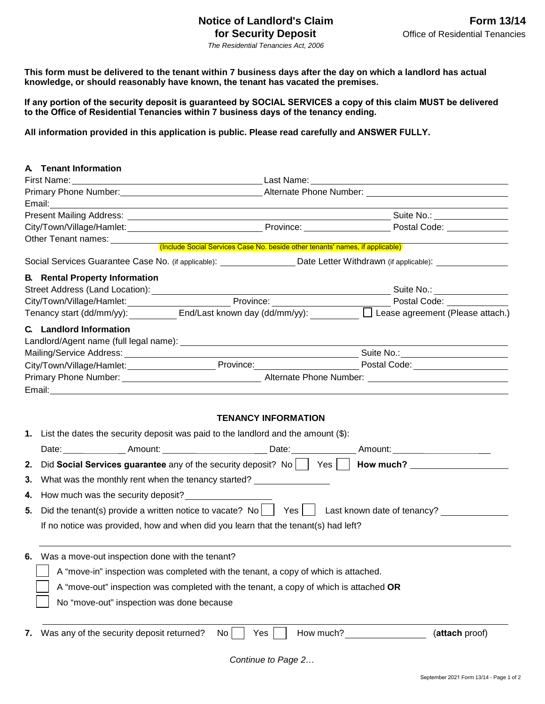## **Notice of Landlord's Claim Form 13/14 for Security Deposit Construction Construction Constrainers** Office of Residential Tenancies

*The Residential Tenancies Act, 2006* 

This form must be delivered to the tenant within 7 business days after the day on which a landlord has actual **knowledge, or should reasonably have known, the tenant has vacated the premises.**

**If any portion of the security deposit is guaranteed by SOCIAL SERVICES a copy of this claim MUST be delivered to the Office of Residential Tenancies within 7 business days of the tenancy ending.** 

**All information provided in this application is public. Please read carefully and ANSWER FULLY.** 

| <b>A</b> Tenant Information                                                                                                                                                                                                   |                            |                |  |
|-------------------------------------------------------------------------------------------------------------------------------------------------------------------------------------------------------------------------------|----------------------------|----------------|--|
|                                                                                                                                                                                                                               |                            |                |  |
|                                                                                                                                                                                                                               |                            |                |  |
| Email: <u>Communication of the Communication of the Communication of the Communication</u>                                                                                                                                    |                            |                |  |
|                                                                                                                                                                                                                               |                            |                |  |
|                                                                                                                                                                                                                               |                            |                |  |
| Other Tenant names: <u>Communisty (Include Social Services Case No. beside other tenants' names, if applicable)</u>                                                                                                           |                            |                |  |
| Social Services Guarantee Case No. (if applicable): ___________________Date Letter Withdrawn (if applicable): _________________________                                                                                       |                            |                |  |
| <b>B.</b> Rental Property Information                                                                                                                                                                                         |                            |                |  |
|                                                                                                                                                                                                                               |                            |                |  |
| City/Town/Village/Hamlet: Province: Postal Code: Postal Code: Postal Code: Province: Postal Code: Postal Code: Postal Code: Postal Code: Postal Code: Postal Code: Postal Code: Postal Code: Postal Code: Postal Code: Postal |                            |                |  |
|                                                                                                                                                                                                                               |                            |                |  |
| C. Landlord Information                                                                                                                                                                                                       |                            |                |  |
|                                                                                                                                                                                                                               |                            |                |  |
|                                                                                                                                                                                                                               |                            |                |  |
| City/Town/Village/Hamlet:__________________________Province:___________________________Postal Code:_________________                                                                                                          |                            |                |  |
|                                                                                                                                                                                                                               |                            |                |  |
|                                                                                                                                                                                                                               |                            |                |  |
|                                                                                                                                                                                                                               | <b>TENANCY INFORMATION</b> |                |  |
| 1. List the dates the security deposit was paid to the landlord and the amount (\$):                                                                                                                                          |                            |                |  |
| Date: ________________Amount: __________________________Date: _________________Amount: _______________________                                                                                                                |                            |                |  |
| Did Social Services guarantee any of the security deposit? No     Yes     How much?<br>2.                                                                                                                                     |                            |                |  |
| What was the monthly rent when the tenancy started?<br>3.                                                                                                                                                                     |                            |                |  |
| How much was the security deposit?<br>4.                                                                                                                                                                                      |                            |                |  |
| Did the tenant(s) provide a written notice to vacate? No $\vert$ Yes $\vert$ Last known date of tenancy?<br>5.                                                                                                                |                            |                |  |
|                                                                                                                                                                                                                               |                            |                |  |
| If no notice was provided, how and when did you learn that the tenant(s) had left?                                                                                                                                            |                            |                |  |
| 6. Was a move-out inspection done with the tenant?                                                                                                                                                                            |                            |                |  |
| A "move-in" inspection was completed with the tenant, a copy of which is attached.                                                                                                                                            |                            |                |  |
|                                                                                                                                                                                                                               |                            |                |  |
| A "move-out" inspection was completed with the tenant, a copy of which is attached OR                                                                                                                                         |                            |                |  |
| No "move-out" inspection was done because                                                                                                                                                                                     |                            |                |  |
| Was any of the security deposit returned?<br>7.                                                                                                                                                                               | How much?<br>Yes<br>No.    | (attach proof) |  |
|                                                                                                                                                                                                                               |                            |                |  |

*Continue to Page 2…*